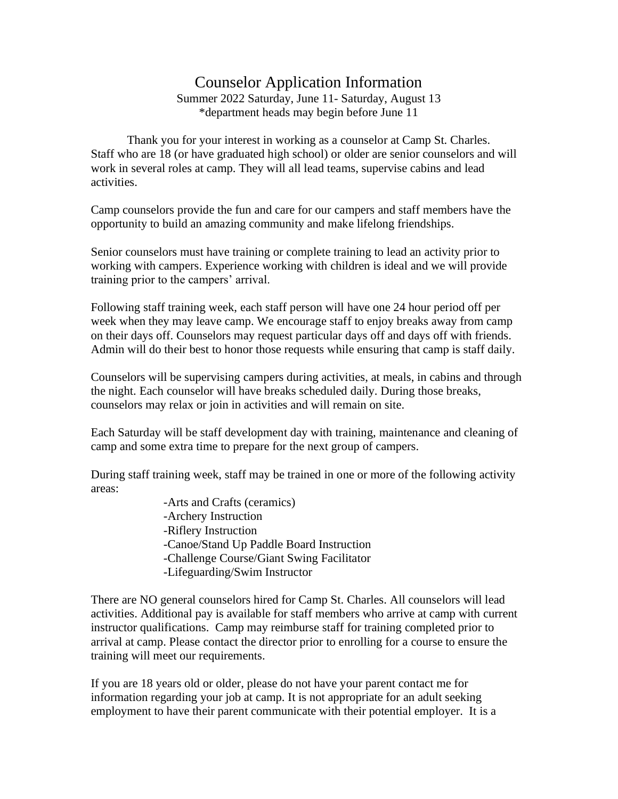## Counselor Application Information

Summer 2022 Saturday, June 11- Saturday, August 13 \*department heads may begin before June 11

Thank you for your interest in working as a counselor at Camp St. Charles. Staff who are 18 (or have graduated high school) or older are senior counselors and will work in several roles at camp. They will all lead teams, supervise cabins and lead activities.

Camp counselors provide the fun and care for our campers and staff members have the opportunity to build an amazing community and make lifelong friendships.

Senior counselors must have training or complete training to lead an activity prior to working with campers. Experience working with children is ideal and we will provide training prior to the campers' arrival.

Following staff training week, each staff person will have one 24 hour period off per week when they may leave camp. We encourage staff to enjoy breaks away from camp on their days off. Counselors may request particular days off and days off with friends. Admin will do their best to honor those requests while ensuring that camp is staff daily.

Counselors will be supervising campers during activities, at meals, in cabins and through the night. Each counselor will have breaks scheduled daily. During those breaks, counselors may relax or join in activities and will remain on site.

Each Saturday will be staff development day with training, maintenance and cleaning of camp and some extra time to prepare for the next group of campers.

During staff training week, staff may be trained in one or more of the following activity areas:

> -Arts and Crafts (ceramics) -Archery Instruction -Riflery Instruction -Canoe/Stand Up Paddle Board Instruction -Challenge Course/Giant Swing Facilitator -Lifeguarding/Swim Instructor

There are NO general counselors hired for Camp St. Charles. All counselors will lead activities. Additional pay is available for staff members who arrive at camp with current instructor qualifications. Camp may reimburse staff for training completed prior to arrival at camp. Please contact the director prior to enrolling for a course to ensure the training will meet our requirements.

If you are 18 years old or older, please do not have your parent contact me for information regarding your job at camp. It is not appropriate for an adult seeking employment to have their parent communicate with their potential employer. It is a